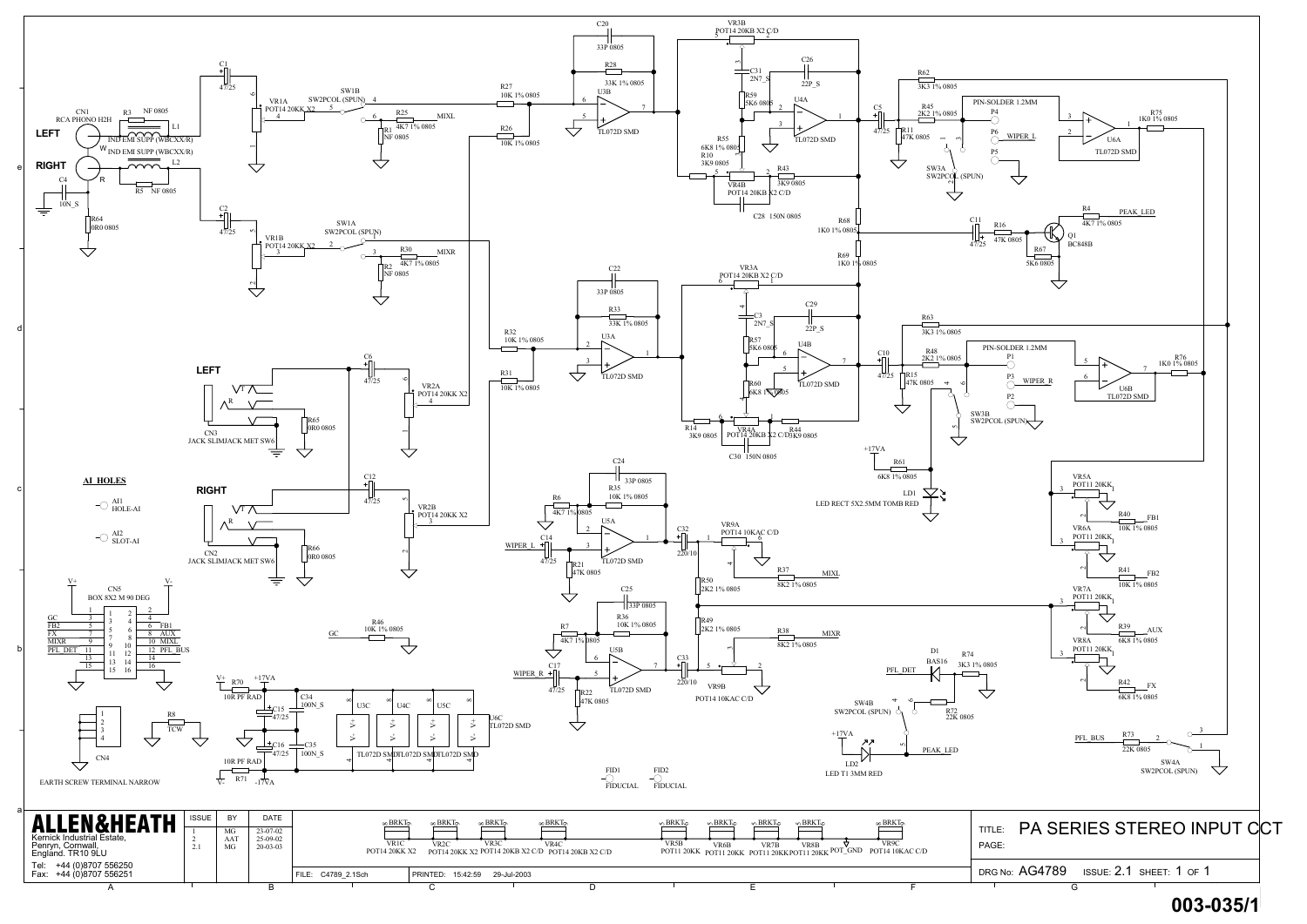